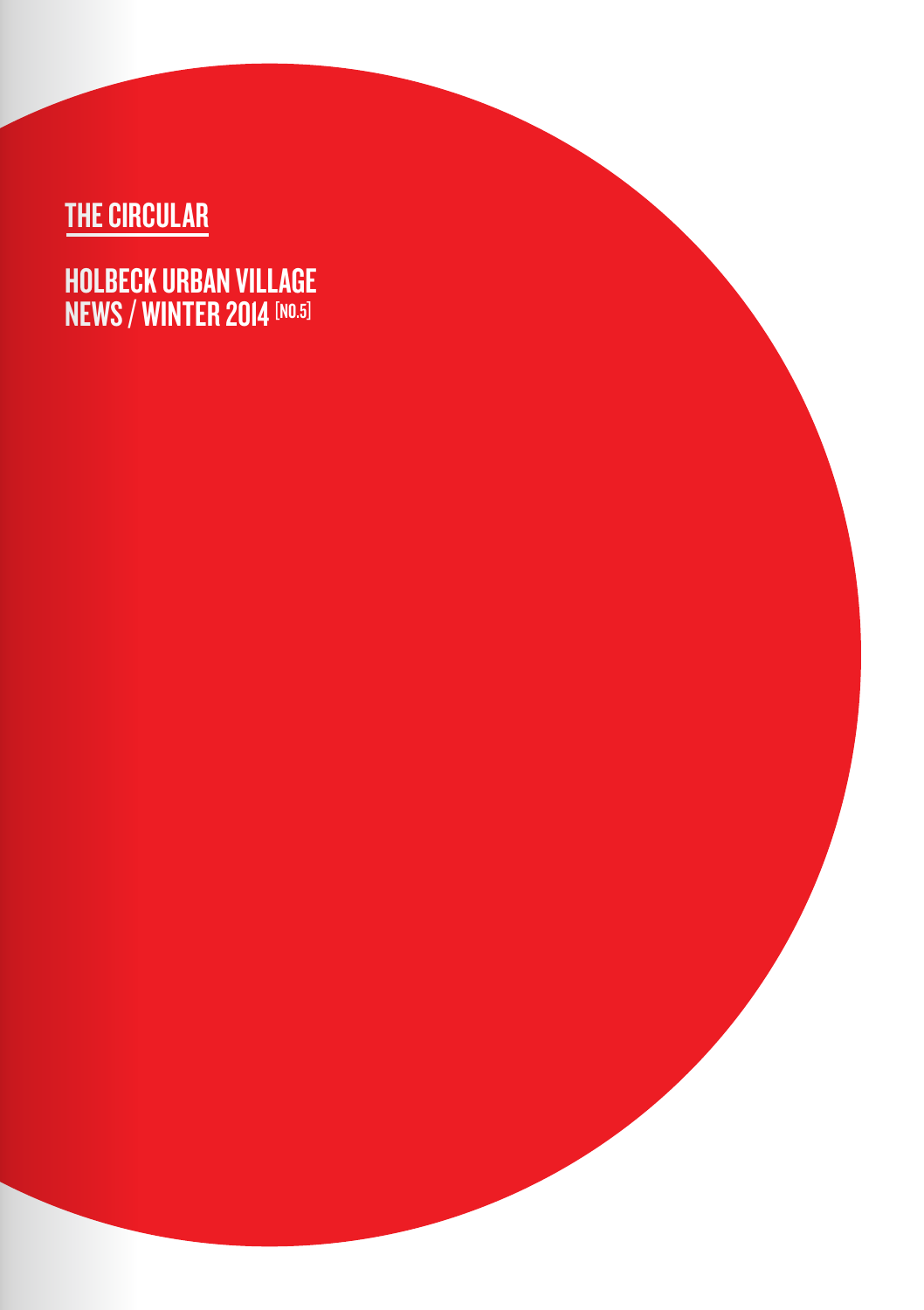# THE CIRCULAR

HOLBECK URBAN VILLAGE **NEWS / WINTER 2014** [NO.5]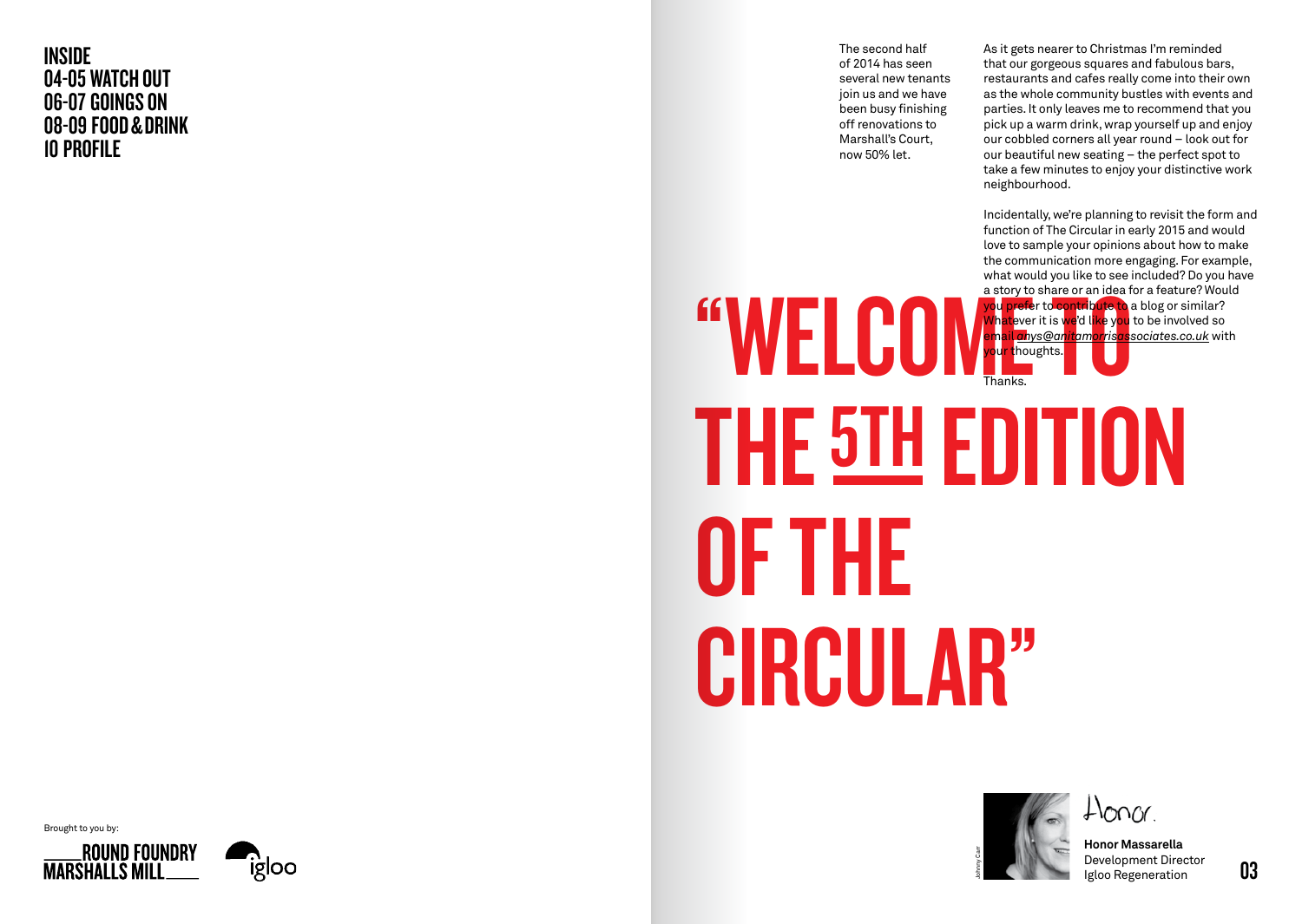INSIDE 04-05 WATCH OUT 06-07 GOINGS ON 08-09 FOOD & DRINK 10 PROFILE

The second half of 2014 has seen several new tenants join us and we have been busy finishing off renovations to Marshall's Court, now 50% let.

"WELCO

As it gets nearer to Christmas I'm reminded that our gorgeous squares and fabulous bars, restaurants and cafes really come into their own as the whole community bustles with events and parties. It only leaves me to recommend that you pick up a warm drink, wrap yourself up and enjoy our cobbled corners all year round – look out for our beautiful new seating – the perfect spot to take a few minutes to enjoy your distinctive work neighbourhood.

Incidentally, we're planning to revisit the form and function of The Circular in early 2015 and would love to sample your opinions about how to make the communication more engaging. For example, what would you like to see included? Do you have a story to share or an idea for a feature? Would you prefer to contribute to a blog or similar? **What**ever it is we'd l<mark>ike</mark> y<mark>ou</mark> to be involved so email *anys@anitamorrisassociates.co.uk* with <mark>your t</mark>houghts.

THE 5TH EDITION OF THE CIRCULAR" Thanks.



Honor Massarella Development Director Igloo Regeneration

Brought to you by:

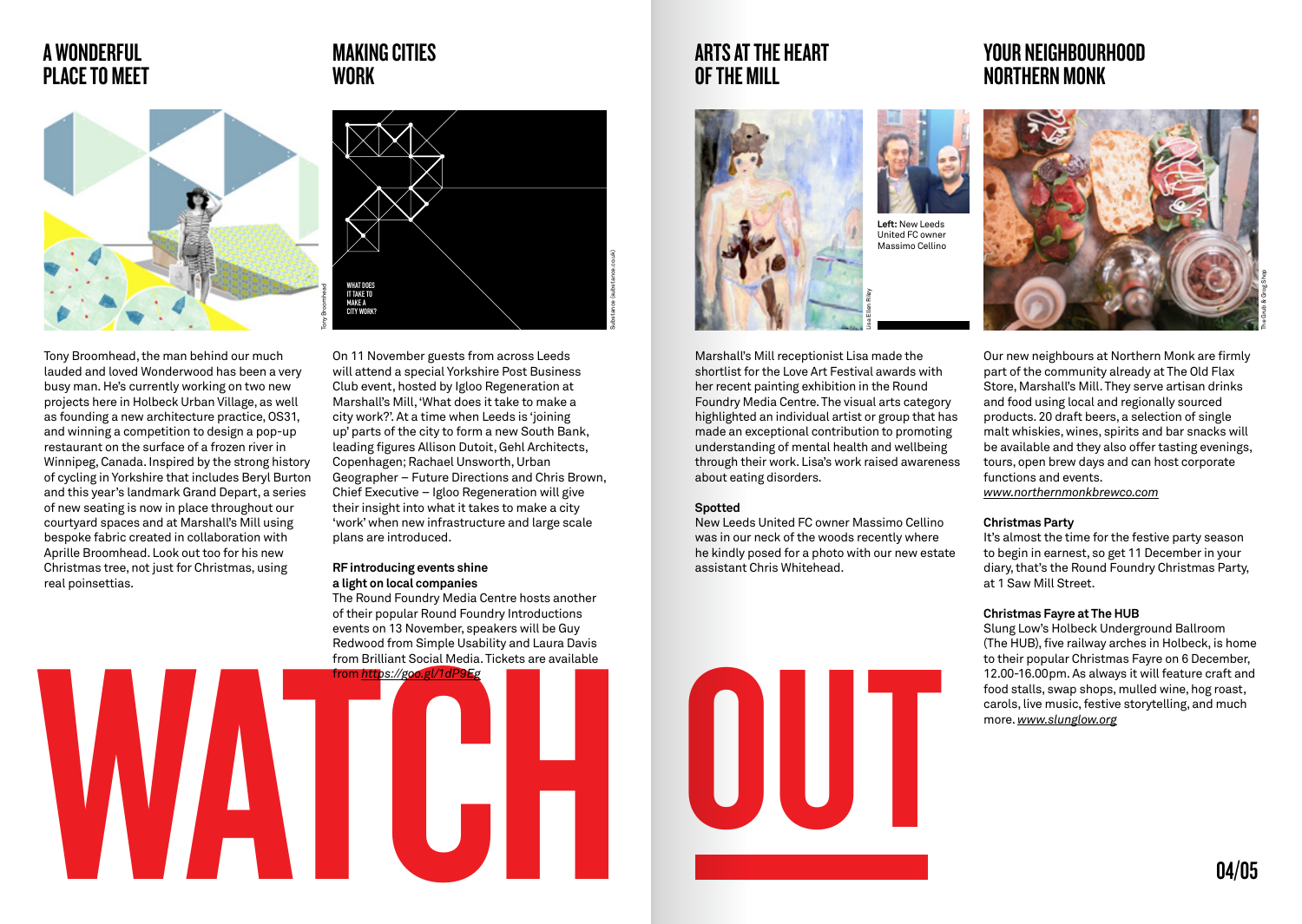# A WONDERFUL PLACE TO MEET

# **Tony Broomhead**

Tony Broomhead, the man behind our much lauded and loved Wonderwood has been a very busy man. He's currently working on two new projects here in Holbeck Urban Village, as well as founding a new architecture practice, OS31, and winning a competition to design a pop-up restaurant on the surface of a frozen river in Winnipeg, Canada. Inspired by the strong history of cycling in Yorkshire that includes Beryl Burton and this year's landmark Grand Depart, a series of new seating is now in place throughout our courtyard spaces and at Marshall's Mill using bespoke fabric created in collaboration with Aprille Broomhead. Look out too for his new Christmas tree, not just for Christmas, using real poinsettias.

# MAKING CITIES WORK



On 11 November guests from across Leeds will attend a special Yorkshire Post Business Club event, hosted by Igloo Regeneration at Marshall's Mill, 'What does it take to make a city work?'. At a time when Leeds is 'joining up' parts of the city to form a new South Bank, leading figures Allison Dutoit, Gehl Architects, Copenhagen; Rachael Unsworth, Urban Geographer – Future Directions and Chris Brown, Chief Executive – Igloo Regeneration will give their insight into what it takes to make a city 'work' when new infrastructure and large scale plans are introduced.

### RF introducing events shine a light on local companies

The Round Foundry Media Centre hosts another of their popular Round Foundry Introductions events on 13 November, speakers will be Guy Redwood from Simple Usability and Laura Davis from Brilliant Social Media. Tickets are available



# ARTS AT THE HEART OF THE MILL



Marshall's Mill receptionist Lisa made the shortlist for the Love Art Festival awards with her recent painting exhibition in the Round Foundry Media Centre. The visual arts category highlighted an individual artist or group that has made an exceptional contribution to promoting understanding of mental health and wellbeing through their work. Lisa's work raised awareness about eating disorders.

### **Spotted**

New Leeds United FC owner Massimo Cellino was in our neck of the woods recently where he kindly posed for a photo with our new estate assistant Chris Whitehead.





Our new neighbours at Northern Monk are firmly part of the community already at The Old Flax Store, Marshall's Mill. They serve artisan drinks and food using local and regionally sourced products. 20 draft beers, a selection of single malt whiskies, wines, spirits and bar snacks will be available and they also offer tasting evenings, tours, open brew days and can host corporate functions and events. *www.northernmonkbrewco.com*

### Christmas Party

It's almost the time for the festive party season to begin in earnest, so get 11 December in your diary, that's the Round Foundry Christmas Party, at 1 Saw Mill Street.

### Christmas Fayre at The HUB

Slung Low's Holbeck Underground Ballroom (The HUB), five railway arches in Holbeck, is home to their popular Christmas Fayre on 6 December, 12.00-16.00pm. As always it will feature craft and food stalls, swap shops, mulled wine, hog roast, carols, live music, festive storytelling, and much more. *www.slunglow.org*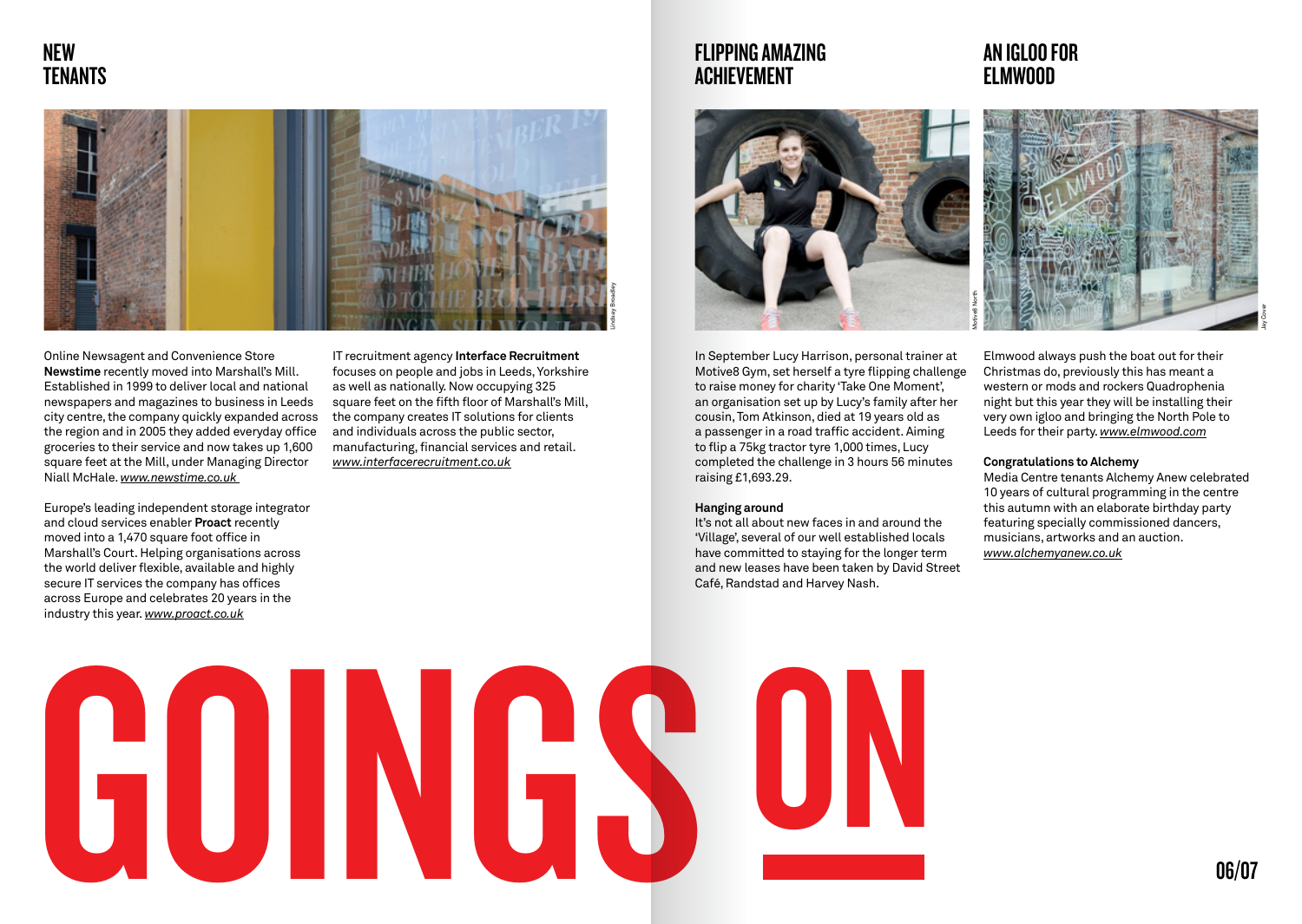# NEW **TENANTS**



Online Newsagent and Convenience Store Newstime recently moved into Marshall's Mill. Established in 1999 to deliver local and national newspapers and magazines to business in Leeds city centre, the company quickly expanded across the region and in 2005 they added everyday office groceries to their service and now takes up 1,600 square feet at the Mill, under Managing Director Niall McHale. *www.newstime.co.uk* 

Europe's leading independent storage integrator and cloud services enabler Proact recently moved into a 1.470 square foot office in Marshall's Court. Helping organisations across the world deliver flexible, available and highly secure IT services the company has offices across Europe and celebrates 20 years in the industry this year. *www.proact.co.uk*

IT recruitment agency Interface Recruitment focuses on people and jobs in Leeds, Yorkshire as well as nationally. Now occupying 325 square feet on the fifth floor of Marshall's Mill, the company creates IT solutions for clients and individuals across the public sector, manufacturing, financial services and retail. *www.interfacerecruitment.co.uk*

# FLIPPING AMAZING ACHIEVEMENT



In September Lucy Harrison, personal trainer at Motive8 Gym, set herself a tyre flipping challenge to raise money for charity 'Take One Moment', an organisation set up by Lucy's family after her cousin, Tom Atkinson, died at 19 years old as a passenger in a road traffic accident. Aiming to flip a 75kg tractor tyre 1,000 times, Lucy completed the challenge in 3 hours 56 minutes raising £1,693.29.

### Hanging around

It's not all about new faces in and around the 'Village', several of our well established locals have committed to staying for the longer term and new leases have been taken by David Street Café, Randstad and Harvey Nash.

# AN IGLOO FOR ELMWOOD



Elmwood always push the boat out for their Christmas do, previously this has meant a western or mods and rockers Quadrophenia night but this year they will be installing their very own igloo and bringing the North Pole to Leeds for their party. *www.elmwood.com*

### Congratulations to Alchemy

Media Centre tenants Alchemy Anew celebrated 10 years of cultural programming in the centre this autumn with an elaborate birthday party featuring specially commissioned dancers, musicians, artworks and an auction. *www.alchemyanew.co.uk*

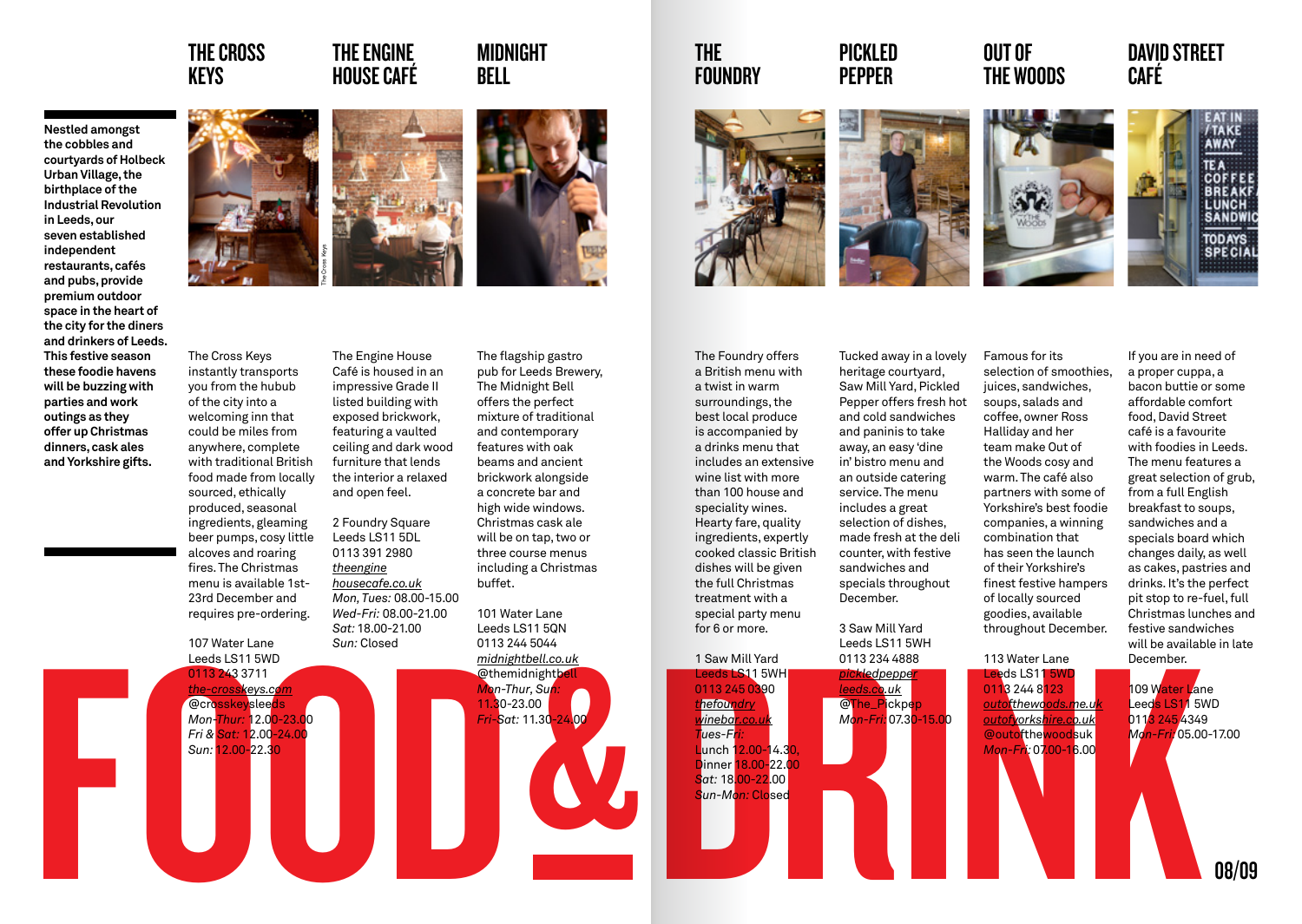# THE CROSS KEYS

# THE ENGINE HOUSE CAFÉ

# MIDNIGHT BELL







beer pumps, cosy little alcoves and roaring fires. The Christmas menu is available 1st-23rd December and requires pre-ordering.

107 Water Lane Leeds LS11 5WD

0113 243 3711 *the-crosskeys.com* @crosskeysleeds *Mon-Thur:* 12.00-23.00 *Fri & Sat:* 12.00-24.00 *Sun:* 12.00-22.30



The Engine House Café is housed in an impressive Grade II listed building with exposed brickwork, featuring a vaulted ceiling and dark wood furniture that lends the interior a relaxed and open feel.

> 2 Foundry Square Leeds LS11 5DL 0113 391 2980 *theengine housecafe.co.uk Mon, Tues:* 08.00-15.00 *Wed-Fri:* 08.00-21.00 *Sat:* 18.00-21.00 *Sun:* Closed

The flagship gastro pub for Leeds Brewery, The Midnight Bell offers the perfect mixture of traditional and contemporary features with oak beams and ancient brickwork alongside a concrete bar and high wide windows. Christmas cask ale will be on tap, two or three course menus including a Christmas buffet.

101 Water Lane Leeds LS11 5QN 0113 244 5044 *midnightbell.co.uk*



## THE FOUNDRY

The Foundry offers a British menu with a twist in warm surroundings, the best local produce is accompanied by a drinks menu that includes an extensive wine list with more than 100 house and speciality wines. Hearty fare, quality ingredients, expertly cooked classic British dishes will be given the full Christmas treatment with a special party menu for 6 or more.

*Tues-Fri:* 



PICKLED PEPPER



OUT OF THE WOODS



TODAYS<br>SPECIAL

DAVID STREET

Famous for its Tucked away in a lovely heritage courtyard, Saw Mill Yard, Pickled Pepper offers fresh hot and cold sandwiches and paninis to take

away, an easy 'dine in' bistro menu and an outside catering service. The menu includes a great selection of dishes, made fresh at the deli counter, with festive sandwiches and specials throughout December.

3 Saw Mill Yard Leeds LS11 5WH



selection of smoothies, juices, sandwiches, soups, salads and coffee, owner Ross Halliday and her team make Out of the Woods cosy and warm. The café also partners with some of Yorkshire's best foodie companies, a winning combination that has seen the launch of their Yorkshire's finest festive hampers of locally sourced goodies, available throughout December.

If you are in need of a proper cuppa, a bacon buttie or some affordable comfort food, David Street café is a favourite with foodies in Leeds. The menu features a great selection of grub, from a full English breakfast to soups, sandwiches and a specials board which changes daily, as well as cakes, pastries and drinks. It's the perfect pit stop to re-fuel, full Christmas lunches and festive sandwiches will be available in late December.

113 Water Lane  $Leeds$  LS11 5W 0113 244 8123

*outofthewoods.me.uk outofyorkshire.co.uk* @outofthewoodsuk *Mon-Fri:* 07.00-16.00

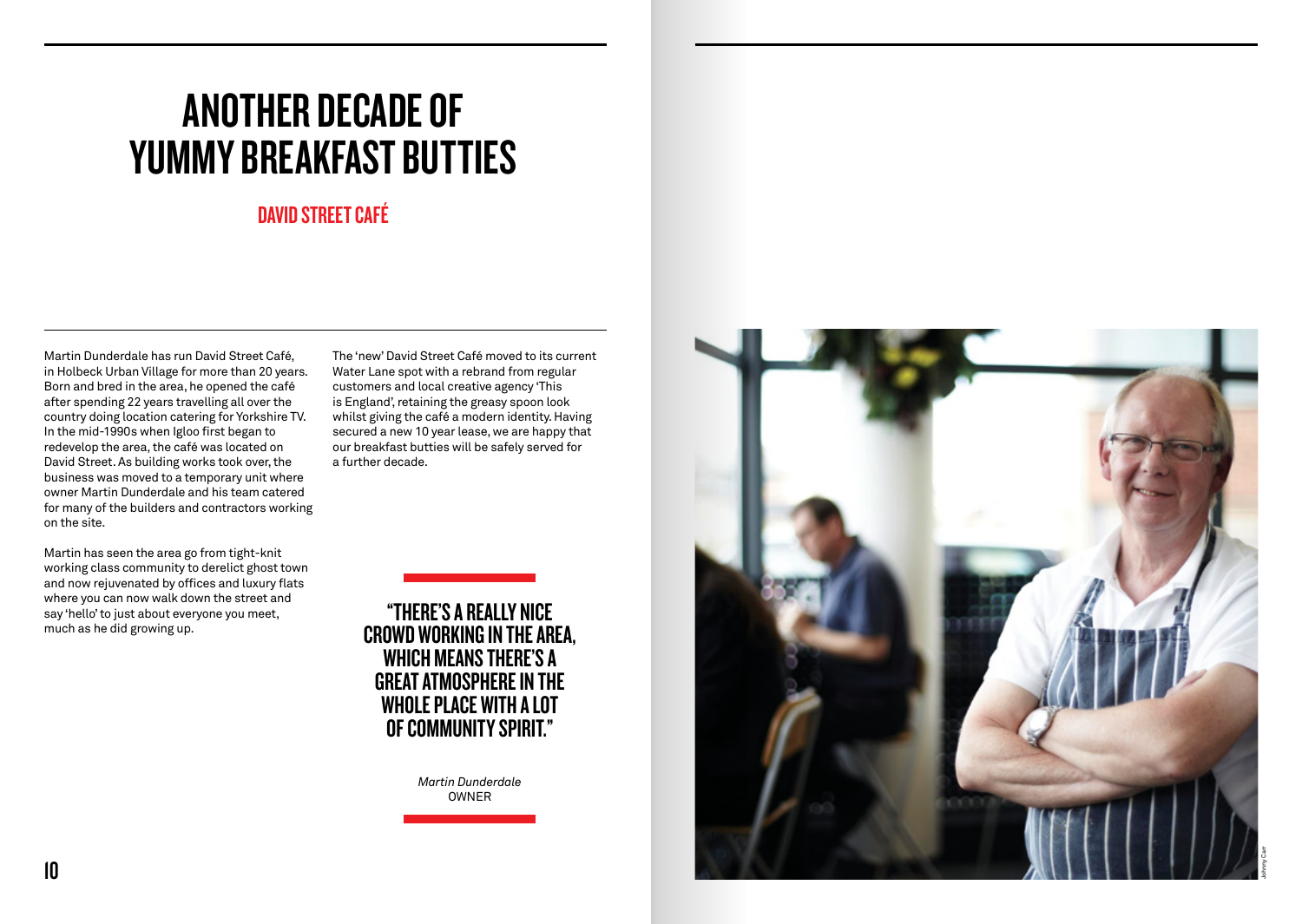# ANOTHER DECADE OF YUMMY BREAKFAST BUTTIES

# DAVID STREET CAFÉ

Martin Dunderdale has run David Street Café, in Holbeck Urban Village for more than 20 years. Born and bred in the area, he opened the café after spending 22 years travelling all over the country doing location catering for Yorkshire TV. In the mid-1990s when Igloo first began to redevelop the area, the café was located on David Street. As building works took over, the business was moved to a temporary unit where owner Martin Dunderdale and his team catered for many of the builders and contractors working on the site.

Martin has seen the area go from tight-knit working class community to derelict ghost town and now rejuvenated by offices and luxury flats where you can now walk down the street and say 'hello' to just about everyone you meet, much as he did growing up.

The 'new' David Street Café moved to its current Water Lane spot with a rebrand from regular customers and local creative agency 'This is England', retaining the greasy spoon look whilst giving the café a modern identity. Having secured a new 10 year lease, we are happy that our breakfast butties will be safely served for a further decade.



*Martin Dunderdale* OWNER